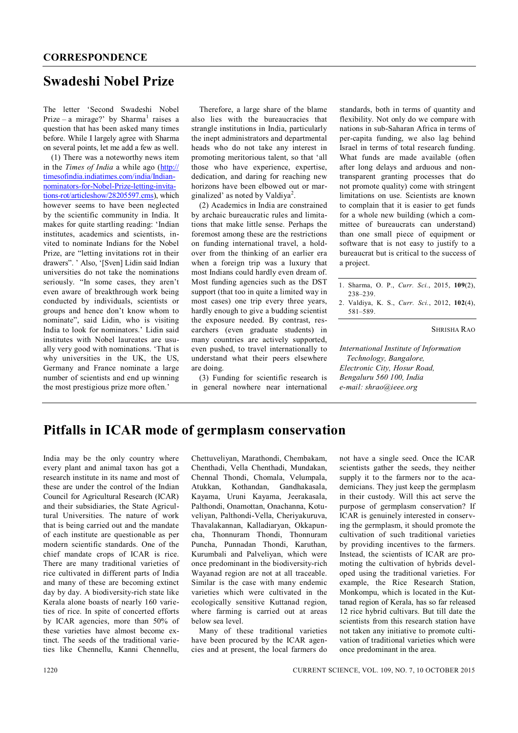## **Swadeshi Nobel Prize**

The letter 'Second Swadeshi Nobel Prize – a mirage?' by Sharma<sup>1</sup> raises a question that has been asked many times before. While I largely agree with Sharma on several points, let me add a few as well.

(1) There was a noteworthy news item in the *Times of India* a while ago (http:// timesofindia.indiatimes.com/india/Indiannominators-for-Nobel-Prize-letting-invitations-rot/articleshow/28205597.cms), which however seems to have been neglected by the scientific community in India. It makes for quite startling reading: 'Indian institutes, academics and scientists, invited to nominate Indians for the Nobel Prize, are "letting invitations rot in their drawers". ' Also, '[Sven] Lidin said Indian universities do not take the nominations seriously. "In some cases, they aren't even aware of breakthrough work being conducted by individuals, scientists or groups and hence don't know whom to nominate", said Lidin, who is visiting India to look for nominators.' Lidin said institutes with Nobel laureates are usually very good with nominations. 'That is why universities in the UK, the US, Germany and France nominate a large number of scientists and end up winning the most prestigious prize more often.'

Therefore, a large share of the blame also lies with the bureaucracies that strangle institutions in India, particularly the inept administrators and departmental heads who do not take any interest in promoting meritorious talent, so that 'all those who have experience, expertise, dedication, and daring for reaching new horizons have been elbowed out or marginalized' as noted by Valdiya<sup>2</sup>.

(2) Academics in India are constrained by archaic bureaucratic rules and limitations that make little sense. Perhaps the foremost among these are the restrictions on funding international travel, a holdover from the thinking of an earlier era when a foreign trip was a luxury that most Indians could hardly even dream of. Most funding agencies such as the DST support (that too in quite a limited way in most cases) one trip every three years, hardly enough to give a budding scientist the exposure needed. By contrast, researchers (even graduate students) in many countries are actively supported, even pushed, to travel internationally to understand what their peers elsewhere are doing.

(3) Funding for scientific research is in general nowhere near international standards, both in terms of quantity and flexibility. Not only do we compare with nations in sub-Saharan Africa in terms of per-capita funding, we also lag behind Israel in terms of total research funding. What funds are made available (often after long delays and arduous and nontransparent granting processes that do not promote quality) come with stringent limitations on use. Scientists are known to complain that it is easier to get funds for a whole new building (which a committee of bureaucrats can understand) than one small piece of equipment or software that is not easy to justify to a bureaucrat but is critical to the success of a project.

| 1. Sharma, O. P., Curr. Sci., 2015, 109(2),          |  |  |  |
|------------------------------------------------------|--|--|--|
| 238–239.                                             |  |  |  |
| 2. Valdiva, K. S., <i>Curr. Sci.</i> , 2012, 102(4). |  |  |  |

581–589.

SHRISHA RAO

*International Institute of Information Technology, Bangalore, Electronic City, Hosur Road, Bengaluru 560 100, India e-mail: shrao@ieee.org*

## **Pitfalls in ICAR mode of germplasm conservation**

India may be the only country where every plant and animal taxon has got a research institute in its name and most of these are under the control of the Indian Council for Agricultural Research (ICAR) and their subsidiaries, the State Agricultural Universities. The nature of work that is being carried out and the mandate of each institute are questionable as per modern scientific standards. One of the chief mandate crops of ICAR is rice. There are many traditional varieties of rice cultivated in different parts of India and many of these are becoming extinct day by day. A biodiversity-rich state like Kerala alone boasts of nearly 160 varieties of rice. In spite of concerted efforts by ICAR agencies, more than 50% of these varieties have almost become extinct. The seeds of the traditional varieties like Chennellu, Kanni Chennellu, Chettuveliyan, Marathondi, Chembakam, Chenthadi, Vella Chenthadi, Mundakan, Chennal Thondi, Chomala, Velumpala, Atukkan, Kothandan, Gandhakasala, Kayama, Uruni Kayama, Jeerakasala, Palthondi, Onamottan, Onachanna, Kotuveliyan, Palthondi-Vella, Cheriyakuruva, Thavalakannan, Kalladiaryan, Okkapuncha, Thonnuram Thondi, Thonnuram Puncha, Punnadan Thondi, Karuthan, Kurumbali and Palveliyan, which were once predominant in the biodiversity-rich Wayanad region are not at all traceable. Similar is the case with many endemic varieties which were cultivated in the ecologically sensitive Kuttanad region, where farming is carried out at areas below sea level.

Many of these traditional varieties have been procured by the ICAR agencies and at present, the local farmers do not have a single seed. Once the ICAR scientists gather the seeds, they neither supply it to the farmers nor to the academicians. They just keep the germplasm in their custody. Will this act serve the purpose of germplasm conservation? If ICAR is genuinely interested in conserving the germplasm, it should promote the cultivation of such traditional varieties by providing incentives to the farmers. Instead, the scientists of ICAR are promoting the cultivation of hybrids developed using the traditional varieties. For example, the Rice Research Station, Monkompu, which is located in the Kuttanad region of Kerala, has so far released 12 rice hybrid cultivars. But till date the scientists from this research station have not taken any initiative to promote cultivation of traditional varieties which were once predominant in the area.